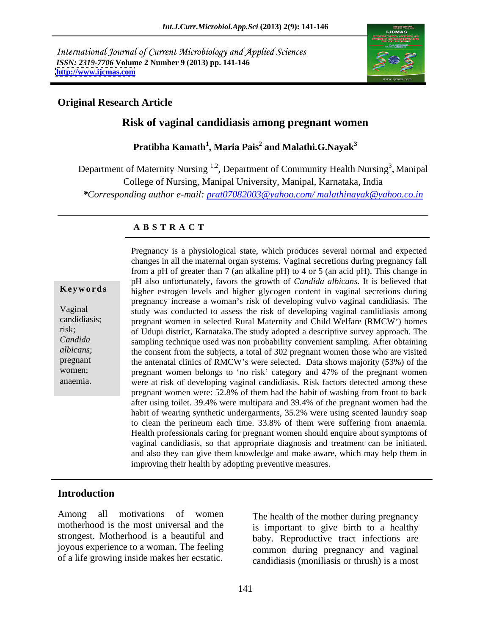International Journal of Current Microbiology and Applied Sciences *ISSN: 2319-7706* **Volume 2 Number 9 (2013) pp. 141-146 <http://www.ijcmas.com>**



## **Original Research Article**

## **Risk of vaginal candidiasis among pregnant women**

**Pratibha Kamath<sup>1</sup> , Maria Pais<sup>2</sup> and Malathi.G.Nayak<sup>3</sup>**

Department of Maternity Nursing <sup>1,2</sup>, Department of Community Health Nursing<sup>3</sup>, Manipal **,** Manipal College of Nursing, Manipal University, Manipal, Karnataka, India

*\*Corresponding author e-mail: prat07082003@yahoo.com/ malathinayak@yahoo.co.in*

### **A B S T R A C T**

**Keywords** higher estrogen levels and higher glycogen content in vaginal secretions during Vaginal study was conducted to assess the risk of developing vaginal candidiasis among candidiasis; pregnant women in selected Rural Maternity and Child Welfare (RMCW ) homes risk; of Udupi district, Karnataka.The study adopted a descriptive survey approach. The *Candida*  sampling technique used was non probability convenient sampling. After obtaining albicans; the consent from the subjects, a total of 302 pregnant women those who are visited pregnant the antenatal clinics of RMCW's were selected. Data shows majority (53%) of the women; pregnant women belongs to 'no risk' category and 47% of the pregnant women Pregnancy is a physiological state, which produces several normal and expected<br>
changes in all the maternal organ systems. Vaginal secretions during pregnancy fall<br>
from a pH of greater than 7 (an akaline pH) to 4 or 5 (an changes in all the maternal organ systems. Vaginal secretions during pregnancy fall from a pH of greater than 7 (an alkaline pH) to 4 or 5 (an acid pH). This change in pH also unfortunately, favors the growth of *Candida albicans*. It is believed that pregnancy increase a woman's risk of developing vulvo vaginal candidiasis. The were at risk of developing vaginal candidiasis. Risk factors detected among these pregnant women were: 52.8% of them had the habit of washing from front to back after using toilet. 39.4% were multipara and 39.4% of the pregnant women had the habit of wearing synthetic undergarments, 35.2% were using scented laundry soap to clean the perineum each time. 33.8% of them were suffering from anaemia. Health professionals caring for pregnant women should enquire about symptoms of vaginal candidiasis, so that appropriate diagnosis and treatment can be initiated, and also they can give them knowledge and make aware, which may help them in improving their health by adopting preventive measures.

### **Introduction**

Among all motivations of women The health of the mother during pregnancy motherhood is the most universal and the strongest. Motherhood is a beautiful and of a life growing inside makes her ecstatic.

joyous experience to a woman. The feeling common during pregnancy and vaginal is important to give birth to a healthy baby. Reproductive tract infections are candidiasis (moniliasis or thrush) is a most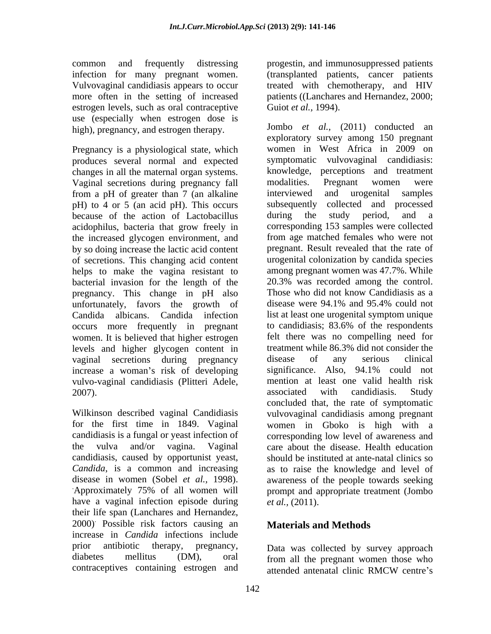infection for many pregnant women. Vulvovaginal candidiasis appears to occur estrogen levels, such as oral contraceptive use (especially when estrogen dose is high), pregnancy, and estrogen therapy.

Pregnancy is a physiological state, which produces several normal and expected changes in all the maternal organ systems. <br>
Vaginal secretions during pregnancy fall modalities. Pregnant Vaginal secretions during pregnancy fall modalities. Pregnant women were from a pH of greater than 7 (an alkaline interviewed and urogenital samples pH) to 4 or 5 (an acid pH). This occurs subsequently collecte because of the action of Lactobacillus during the study because of the action of Lactobacillus during the study period, and a acidophilus, bacteria that grow freely in the increased glycogen environment, and by so doing increase the lactic acid content of secretions. This changing acid content helps to make the vagina resistant to bacterial invasion for the length of the 20.3% was recorded among the control.<br>
pregnancy This change in pH also Those who did not know Candidiasis as a pregnancy. This change in pH also Those who did not know Candidiasis as a unfortunately, favors the growth of disease were 94.1% and 95.4% could not unfortunately, favors the growth of Candida albicans. Candida infection occurs more frequently in pregnant women. It is believed that higher estrogen levels and higher glycogen content in vaginal secretions during pregnancy disease of any serious clinical increase a woman's risk of developing significance. Also, 94.1% could not vulvo-vaginal candidiasis (Plitteri Adele,

candidiasis, caused by opportunist yeast, have a vaginal infection episode during *et al.*, (2011). their life span (Lanchares and Hernandez, 2000). Possible risk factors causing an increase in *Candida* infections include prior antibiotic therapy, pregnancy, Data was collected by survey approach diabetes mellitus (DM), oral from all the pregnant women those who

common and frequently distressing progestin, and immunosuppressed patients more often in the setting of increased patients ((Lanchares and Hernandez, 2000; (transplanted patients, cancer patients treated with chemotherapy, and HIV Guiot *et al.,* 1994).

2007). The subset of the subset of the series associated with candidiasis. Study Wilkinson described vaginal Candidiasis vulvovaginal candidiasis among pregnant for the first time in 1849. Vaginal women in Gboko is high with a candidiasis is a fungal or yeast infection of corresponding low level of awareness and the vulva and/or vagina. Vaginal care about the disease. Health education *Candida*, is a common and increasing as to raise the knowledge and level of disease in women (Sobel *et al.,* 1998). awareness of the people towards seeking Approximately 75% of all women will prompt and appropriate treatment (Jombo Jombo *et al.,* (2011) conducted an exploratory survey among 150 pregnant women in West Africa in 2009 on symptomatic vulvovaginal candidiasis: knowledge, perceptions and treatment modalities. Pregnant women were interviewed and urogenital samples subsequently collected and processed during the study period, and a corresponding 153 samples were collected from age matched females who were not pregnant. Result revealed that the rate of urogenital colonization by candida species among pregnant women was 47.7%. While 20.3% was recorded among the control. Those who did not know Candidiasis as a disease were 94.1% and 95.4% could not list at least one urogenital symptom unique to candidiasis; 83.6% of the respondents felt there was no compelling need for treatment while 86.3% did not consider the disease of any serious clinical significance. Also, 94.1% could not mention at least one valid health risk associated with candidiasis. Study concluded that, the rate of symptomatic should be instituted at ante-natal clinics so prompt and appropriate treatment (Jombo *et al.,* (2011).

## **Materials and Methods**

contraceptives containing estrogen and attended antenatal clinic RMCW centre's attended antenatal clinic RMCW centre's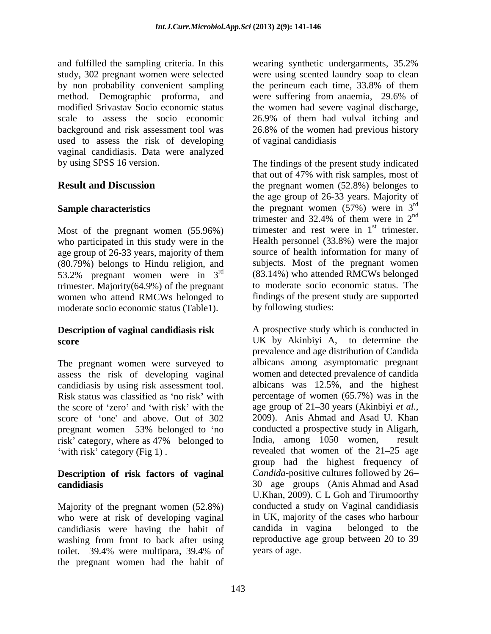and fulfilled the sampling criteria. In this wearing synthetic undergarments, 35.2% study, 302 pregnant women were selected were using scented laundry soap to clean by non probability convenient sampling the perineum each time, 33.8% of them method. Demographic proforma, and were suffering from anaemia, 29.6% of modified Srivastav Socio economic status the women had severe vaginal discharge, scale to assess the socio economic 26.9% of them had vulval itching and background and risk assessment tool was 26.8% of the women had previous history used to assess the risk of developing vaginal candidiasis. Data were analyzed by using SPSS 16 version.

Most of the pregnant women (55.96%) who participated in this study were in the age group of 26-33 years, majority of them (80.79%) belongs to Hindu religion, and  $53.2\%$  pregnant women were in  $3^{\text{rd}}$ trimester. Majority(64.9%) of the pregnant moderate socio economic status (Table1).

## **Description of vaginal candidiasis risk**

The pregnant women were surveyed to assess the risk of developing vaginal candidiasis by using risk assessment tool. score of 'one' and above. Out of 302

# **Description of risk factors of vaginal**

Majority of the pregnant women (52.8%) who were at risk of developing vaginal in UK, majority of the cases who harbour<br>candidiasis were having the habit of candida in vagina belonged to the candidiasis were having the habit of washing from front to back after using toilet. 39.4% were multipara, 39.4% of the pregnant women had the habit of

wearing synthetic undergarments, 35.2% the perineum each time, 33.8% of them were suffering from anaemia, 29.6% of of vaginal candidiasis

**Result and Discussion** the pregnant women (52.8%) belonges to **Sample characteristics** the pregnant women (57%) were in 3<sup>rd</sup> 53.2% pregnant women were in  $3^{rd}$  (83.14%) who attended RMCWs belonged <sup>rd</sup> (83.14%) who attended RMCWs belonged women who attend RMCWs belonged to findings of the present study are supported The findings of the present study indicated that out of 47% with risk samples, most of the age group of 26-33 years. Majority of rd trimester and 32.4% of them were in  $2^{nd}$ nd trimester and rest were in  $1<sup>st</sup>$  trimester. st trimester. Health personnel (33.8%) were the major source of health information for many of subjects. Most of the pregnant women to moderate socio economic status. The by following studies:

**score** UK by Akinbiyi A, to determine the Risk status was classified as 'no risk' with percentage of women (65.7%) was in the the score of 'zero' and 'with risk' with the age group of 21–30 years (Akinbiyi *et al.,* pregnant women 53% belonged to 'no conducted a prospective study in Aligarh, risk' category, where as 47% belonged to India, among 1050 women, result with risk' category (Fig 1). revealed that women of the 21–25 age **candidiasis** 30 age groups (Anis Ahmad and Asad A prospective study which is conducted in prevalence and age distribution of Candida albicans among asymptomatic pregnant women and detected prevalence of candida albicans was 12.5%, and the highest 2009). Anis Ahmad and Asad U. Khan conducted a prospective study in Aligarh, India, among 1050 women, result group had the highest frequency of *Candida*-positive cultures followed by 26 U.Khan, 2009). C L Goh and Tirumoorthy conducted a study on Vaginal candidiasis in UK, majority of the cases who harbour candida in vagina belonged to the reproductive age group between 20 to 39 years of age.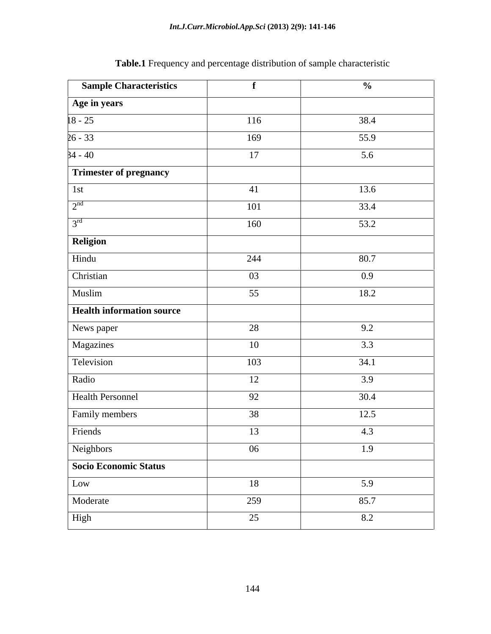| <b>Sample Characteristics</b>               |     | $\frac{6}{10}$ |
|---------------------------------------------|-----|----------------|
| Age in years                                |     |                |
| $18 - 25$                                   | 116 | 38.4           |
| $\frac{1}{26 - 33}$                         | 169 | 55.9           |
| $34 - 40$                                   | 17  | 5.6            |
| Trimester of pregnancy                      |     |                |
| 1st                                         | 41  | 13.6           |
| 2 <sub>nd</sub><br>$\overline{\phantom{0}}$ | 101 | 33.4           |
| $\gamma$ rd                                 | 160 | 53.2           |
| Religion                                    |     |                |
| Hindu                                       | 244 | 80.7           |
| Christian                                   | 03  | 0.9            |
| Muslim                                      | 55  | 18.2           |
| Health information source                   |     |                |
| News paper                                  | 28  | 9.2            |
| Magazines                                   | 10  | 3.3            |
| Television                                  | 103 | 34.1           |
| Radio                                       | 12  | 3.9            |
| <b>Health Personnel</b>                     | 92  | 30.4           |
| Family members                              | 38  | 12.5           |
| Friends                                     | 13  | 4.3            |
| Neighbors                                   | 06  | 1.9            |
| Socio Economic Status                       |     |                |
| Low                                         | 18  | 5.9            |
| Moderate                                    | 259 | 85.7           |
| High                                        |     |                |

**Table.1** Frequency and percentage distribution of sample characteristic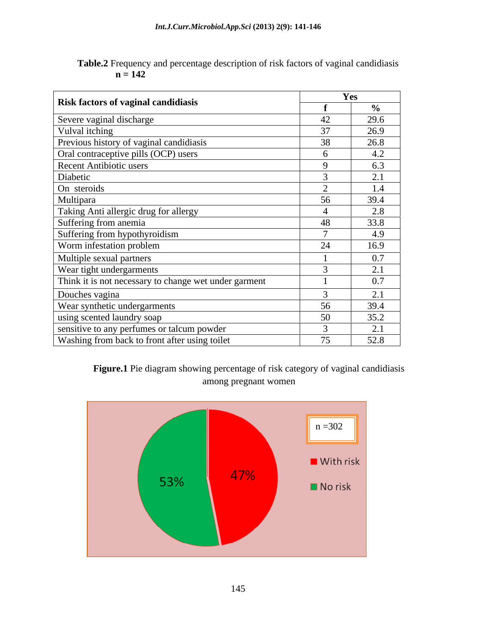| Table.2<br>$\sim$ $\sim$<br>e.2 Frequency and percentage description of risk factors of year.<br>vaginal candidiasis |  |
|----------------------------------------------------------------------------------------------------------------------|--|
| . .<br>$H - 174$                                                                                                     |  |

| <b>Risk factors of vaginal candidiasis</b>            | es (                        |               |
|-------------------------------------------------------|-----------------------------|---------------|
|                                                       |                             | $\frac{0}{0}$ |
| Severe vaginal discharge                              | $\Lambda$                   | 29.6          |
| Vulval itching                                        | 27                          | 26.9          |
| Previous history of vaginal candidiasis               |                             | 26.8          |
| Oral contraceptive pills (OCP) users                  |                             | 4.2           |
| Recent Antibiotic users                               |                             | 6.3           |
| Diabetic                                              |                             | 2.1           |
| On steroids                                           | $\sim$                      | 1.4           |
| Multipara                                             | 56                          | 39.4          |
| Taking Anti allergic drug for allergy                 |                             | 2.8           |
| Suffering from anemia                                 | 48                          | 33.8          |
| Suffering from hypothyroidism                         | $\overline{a}$              | 4.9           |
| Worm infestation problem                              | $\bigcap$ $\bigcap$<br>$2+$ | 16.9          |
| Multiple sexual partners                              |                             | 0.7           |
| Wear tight undergarments                              |                             | 2.1           |
| Think it is not necessary to change wet under garment |                             | 0.7           |
| Douches vagina                                        |                             | 2.1           |
| Wear synthetic undergarments                          | 56                          | 39.4          |
| using scented laundry soap                            | 50                          | 35.2          |
| sensitive to any perfumes or talcum powder            |                             | 2.1           |
| Washing from back to front after using toilet         | 75                          | 52.8          |

**Figure.1** Pie diagram showing percentage of risk category of vaginal candidiasis among pregnant women